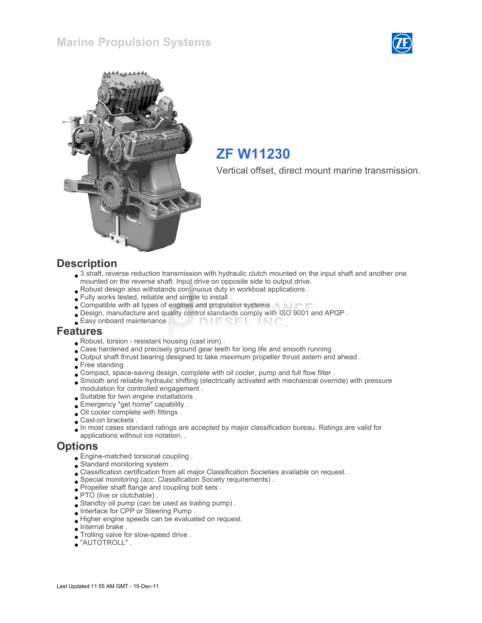



# ZF W11230

Vertical offset, direct mount marine transmission.

#### **Description**

- 3 shaft, reverse reduction transmission with hydraulic clutch mounted on the input shaft and another one mounted on the reverse shaft. Input drive on opposite side to output drive.
- Robust design also withstands continuous duty in workboat applications .
- Fully works tested, reliable and simple to install .
- Compatible with all types of engines and propulsion systems .
- Design, manufacture and quality control standards comply with ISO 9001 and APQP .
- Easy onboard maintenance . **DIESEI** INIC

#### Features

- Robust, torsion resistant housing (cast iron) .
- . Case hardened and precisely ground gear teeth for long life and smooth running .
- Output shaft thrust bearing designed to take maximum propeller thrust astern and ahead .
- Free standing .
- Compact, space-saving design, complete with oil cooler, pump and full flow filter .
- Smooth and reliable hydraulic shifting (electrically activated with mechanical override) with pressure modulation for controlled engagement .
- Suitable for twin engine installations .
- Emergency "get home" capability .
- Oil cooler complete with fittings .
- Cast-on brackets .
- In most cases standard ratings are accepted by major classification bureau. Ratings are valid for applications without ice notation. .

#### **Options**

- Engine-matched torsional coupling .
- Standard monitoring system .
- Classification certification from all major Classification Societies available on request. .
- Special monitoring (acc. Classification Society requirements) .
- Propeller shaft flange and coupling bolt sets .
- PTO (live or clutchable).
- Standby oil pump (can be used as trailing pump) .
- Interface for CPP or Steering Pump .
- Higher engine speeds can be evaluated on request.
- Internal brake .
- Trolling valve for slow-speed drive .
- "AUTOTROLL" .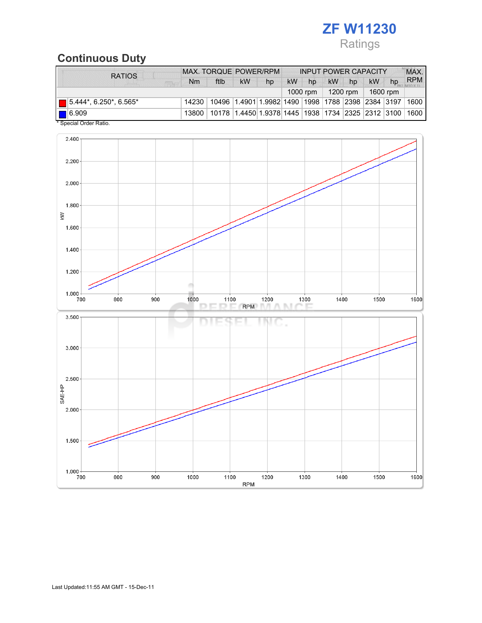# ZF W11230

# Ratings

## Continuous Duty

| <b>RATIOS</b>                 | <b>MAX. TORQUE POWER/RPM</b> |                                                                                  |                     | <b>INPUT POWER CAPACITY</b> |           |    |    |    |           | MAX. |            |
|-------------------------------|------------------------------|----------------------------------------------------------------------------------|---------------------|-----------------------------|-----------|----|----|----|-----------|------|------------|
| <b>FIRE</b>                   | Nm                           | ftlb                                                                             | <b>kW</b>           | hp                          | <b>kW</b> | hp | kW | hp | <b>kW</b> | hp   | <b>RPM</b> |
|                               | $1000$ rpm                   |                                                                                  | 1200 rpm   1600 rpm |                             |           |    |    |    |           |      |            |
| $\Box$ 5.444*, 6.250*, 6.565* |                              | 14230   10496   1.4901   1.9982   1490   1998   1788   2398   2384   3197   1600 |                     |                             |           |    |    |    |           |      |            |
| $\blacksquare$ 6.909          |                              | 13800   10178   1.4450   1.9378   1445   1938   1734   2325   2312   3100   1600 |                     |                             |           |    |    |    |           |      |            |
| * Special Order Ratio.        |                              |                                                                                  |                     |                             |           |    |    |    |           |      |            |

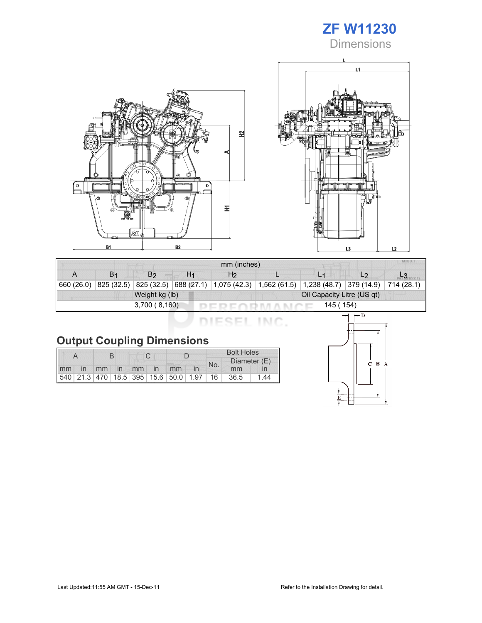# ZF W11230

**Dimensions** 





| mm (inches) |                |                |    |                                                 |  |                                            |                |  |  |  |
|-------------|----------------|----------------|----|-------------------------------------------------|--|--------------------------------------------|----------------|--|--|--|
|             | B <sub>1</sub> | B2             | H1 | H <sub>2</sub>                                  |  |                                            | L <sub>2</sub> |  |  |  |
| 660 (26.0)  | 825 (32.5)     |                |    | 825 (32.5) 688 (27.1) 1,075 (42.3) 1,562 (61.5) |  | $\vert 1,238$ (48.7) 379 (14.9) 714 (28.1) |                |  |  |  |
|             |                | Weight kg (lb) |    | Oil Capacity Litre (US qt)                      |  |                                            |                |  |  |  |
|             |                | 3,700(8,160)   |    |                                                 |  | 145 ( 154)                                 |                |  |  |  |

DIESEL INC.

# Output Coupling Dimensions

|       |  |  |  |             | <b>Bolt Holes</b>                       |                     |      |                 |  |
|-------|--|--|--|-------------|-----------------------------------------|---------------------|------|-----------------|--|
|       |  |  |  |             |                                         | Diameter (E)<br>No. |      |                 |  |
| mm in |  |  |  | mm in mm in | mm                                      |                     | mm   |                 |  |
|       |  |  |  |             | 540 21.3 470 18.5 395 15.6 50.0 1.97 16 |                     | 36.5 | $\overline{44}$ |  |